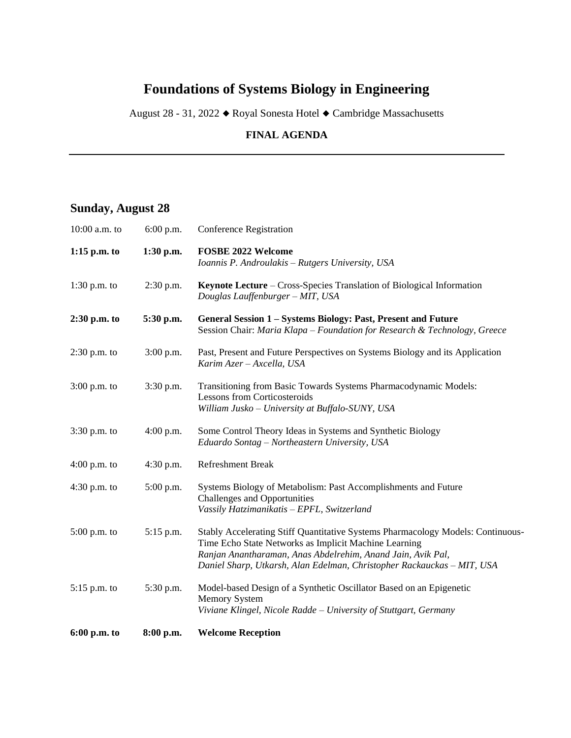#### **Foundations of Systems Biology in Engineering**

August 28 - 31, 2022 Royal Sonesta Hotel Cambridge Massachusetts

#### **FINAL AGENDA**

#### **Sunday, August 28**

| 6:00 p.m. to   | 8:00 p.m.   | <b>Welcome Reception</b>                                                                                                                                                                                                                                                          |
|----------------|-------------|-----------------------------------------------------------------------------------------------------------------------------------------------------------------------------------------------------------------------------------------------------------------------------------|
| 5:15 p.m. to   | 5:30 p.m.   | Model-based Design of a Synthetic Oscillator Based on an Epigenetic<br><b>Memory System</b><br>Viviane Klingel, Nicole Radde - University of Stuttgart, Germany                                                                                                                   |
| $5:00$ p.m. to | $5:15$ p.m. | Stably Accelerating Stiff Quantitative Systems Pharmacology Models: Continuous-<br>Time Echo State Networks as Implicit Machine Learning<br>Ranjan Anantharaman, Anas Abdelrehim, Anand Jain, Avik Pal,<br>Daniel Sharp, Utkarsh, Alan Edelman, Christopher Rackauckas - MIT, USA |
| $4:30$ p.m. to | 5:00 p.m.   | Systems Biology of Metabolism: Past Accomplishments and Future<br><b>Challenges and Opportunities</b><br>Vassily Hatzimanikatis - EPFL, Switzerland                                                                                                                               |
| $4:00$ p.m. to | $4:30$ p.m. | Refreshment Break                                                                                                                                                                                                                                                                 |
| $3:30$ p.m. to | $4:00$ p.m. | Some Control Theory Ideas in Systems and Synthetic Biology<br>Eduardo Sontag - Northeastern University, USA                                                                                                                                                                       |
| $3:00$ p.m. to | 3:30 p.m.   | Transitioning from Basic Towards Systems Pharmacodynamic Models:<br><b>Lessons from Corticosteroids</b><br>William Jusko - University at Buffalo-SUNY, USA                                                                                                                        |
| 2:30 p.m. to   | 3:00 p.m.   | Past, Present and Future Perspectives on Systems Biology and its Application<br>Karim Azer - Axcella, USA                                                                                                                                                                         |
| $2:30$ p.m. to | 5:30 p.m.   | General Session 1 - Systems Biology: Past, Present and Future<br>Session Chair: Maria Klapa - Foundation for Research & Technology, Greece                                                                                                                                        |
| $1:30$ p.m. to | 2:30 p.m.   | Keynote Lecture – Cross-Species Translation of Biological Information<br>Douglas Lauffenburger - MIT, USA                                                                                                                                                                         |
| $1:15$ p.m. to | 1:30 p.m.   | <b>FOSBE 2022 Welcome</b><br>Ioannis P. Androulakis - Rutgers University, USA                                                                                                                                                                                                     |
| 10:00 a.m. to  | $6:00$ p.m. | <b>Conference Registration</b>                                                                                                                                                                                                                                                    |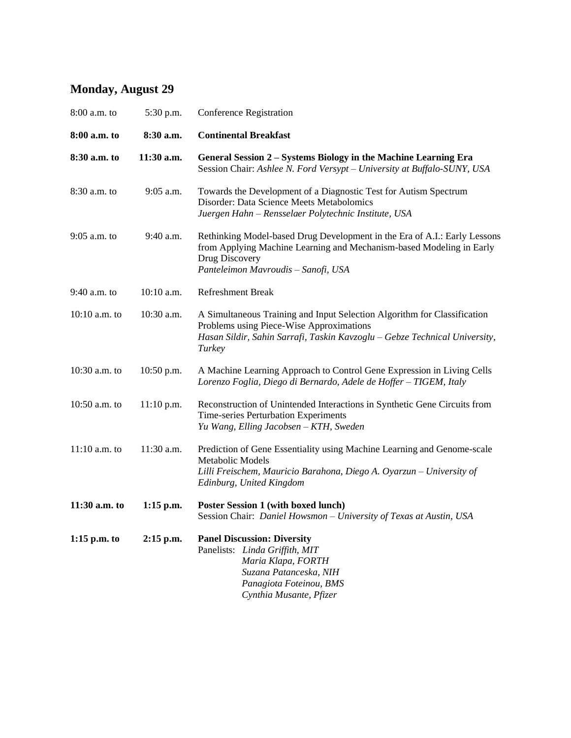# **Monday, August 29**

| 8:00 a.m. to    | 5:30 p.m.    | <b>Conference Registration</b>                                                                                                                                                                               |
|-----------------|--------------|--------------------------------------------------------------------------------------------------------------------------------------------------------------------------------------------------------------|
| 8:00 a.m. to    | 8:30 a.m.    | <b>Continental Breakfast</b>                                                                                                                                                                                 |
| 8:30 a.m. to    | 11:30 a.m.   | General Session 2 - Systems Biology in the Machine Learning Era<br>Session Chair: Ashlee N. Ford Versypt - University at Buffalo-SUNY, USA                                                                   |
| 8:30 a.m. to    | 9:05 a.m.    | Towards the Development of a Diagnostic Test for Autism Spectrum<br>Disorder: Data Science Meets Metabolomics<br>Juergen Hahn - Rensselaer Polytechnic Institute, USA                                        |
| 9:05 a.m. to    | 9:40 a.m.    | Rethinking Model-based Drug Development in the Era of A.I.: Early Lessons<br>from Applying Machine Learning and Mechanism-based Modeling in Early<br>Drug Discovery<br>Panteleimon Mavroudis - Sanofi, USA   |
| 9:40 a.m. to    | $10:10$ a.m. | <b>Refreshment Break</b>                                                                                                                                                                                     |
| $10:10$ a.m. to | 10:30 a.m.   | A Simultaneous Training and Input Selection Algorithm for Classification<br>Problems using Piece-Wise Approximations<br>Hasan Sildir, Sahin Sarrafi, Taskin Kavzoglu - Gebze Technical University,<br>Turkey |
| 10:30 a.m. to   | 10:50 p.m.   | A Machine Learning Approach to Control Gene Expression in Living Cells<br>Lorenzo Foglia, Diego di Bernardo, Adele de Hoffer - TIGEM, Italy                                                                  |
| 10:50 a.m. to   | $11:10$ p.m. | Reconstruction of Unintended Interactions in Synthetic Gene Circuits from<br>Time-series Perturbation Experiments<br>Yu Wang, Elling Jacobsen - KTH, Sweden                                                  |
| $11:10$ a.m. to | 11:30 a.m.   | Prediction of Gene Essentiality using Machine Learning and Genome-scale<br>Metabolic Models<br>Lilli Freischem, Mauricio Barahona, Diego A. Oyarzun - University of<br>Edinburg, United Kingdom              |
| 11:30 a.m. to   | $1:15$ p.m.  | Poster Session 1 (with boxed lunch)<br>Session Chair: Daniel Howsmon - University of Texas at Austin, USA                                                                                                    |
| $1:15$ p.m. to  | $2:15$ p.m.  | <b>Panel Discussion: Diversity</b><br>Panelists: Linda Griffith, MIT<br>Maria Klapa, FORTH<br>Suzana Patanceska, NIH<br>Panagiota Foteinou, BMS<br>Cynthia Musante, Pfizer                                   |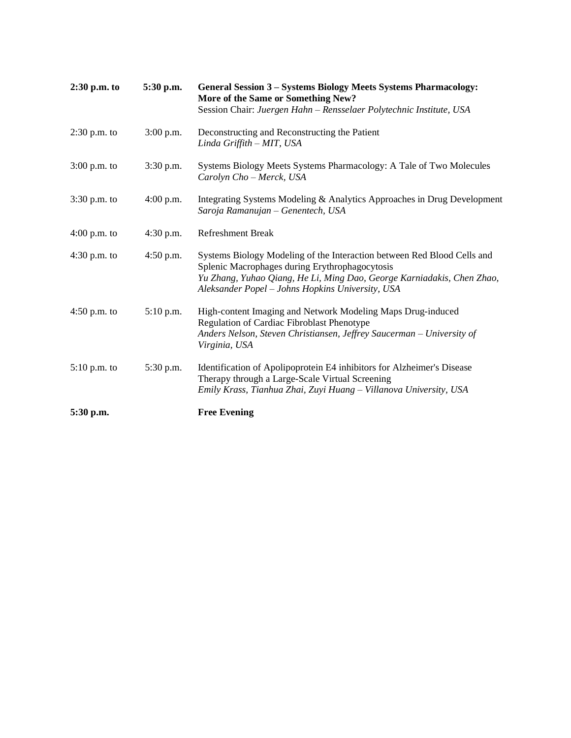| $2:30$ p.m. to | 5:30 p.m.   | <b>General Session 3 - Systems Biology Meets Systems Pharmacology:</b><br>More of the Same or Something New?<br>Session Chair: Juergen Hahn - Rensselaer Polytechnic Institute, USA                                                                     |
|----------------|-------------|---------------------------------------------------------------------------------------------------------------------------------------------------------------------------------------------------------------------------------------------------------|
| $2:30$ p.m. to | $3:00$ p.m. | Deconstructing and Reconstructing the Patient<br>Linda Griffith - MIT, USA                                                                                                                                                                              |
| $3:00$ p.m. to | $3:30$ p.m. | Systems Biology Meets Systems Pharmacology: A Tale of Two Molecules<br>Carolyn Cho - Merck, USA                                                                                                                                                         |
| $3:30$ p.m. to | $4:00$ p.m. | Integrating Systems Modeling & Analytics Approaches in Drug Development<br>Saroja Ramanujan - Genentech, USA                                                                                                                                            |
| $4:00$ p.m. to | $4:30$ p.m. | <b>Refreshment Break</b>                                                                                                                                                                                                                                |
| $4:30$ p.m. to | $4:50$ p.m. | Systems Biology Modeling of the Interaction between Red Blood Cells and<br>Splenic Macrophages during Erythrophagocytosis<br>Yu Zhang, Yuhao Qiang, He Li, Ming Dao, George Karniadakis, Chen Zhao,<br>Aleksander Popel - Johns Hopkins University, USA |
| $4:50$ p.m. to | $5:10$ p.m. | High-content Imaging and Network Modeling Maps Drug-induced<br>Regulation of Cardiac Fibroblast Phenotype<br>Anders Nelson, Steven Christiansen, Jeffrey Saucerman - University of<br>Virginia, USA                                                     |
| $5:10$ p.m. to | 5:30 p.m.   | Identification of Apolipoprotein E4 inhibitors for Alzheimer's Disease<br>Therapy through a Large-Scale Virtual Screening<br>Emily Krass, Tianhua Zhai, Zuyi Huang - Villanova University, USA                                                          |
| 5:30 p.m.      |             | <b>Free Evening</b>                                                                                                                                                                                                                                     |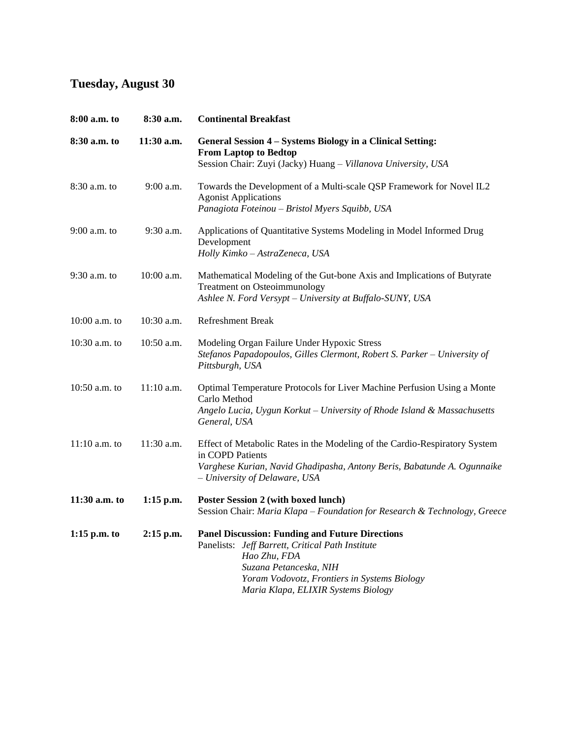# **Tuesday, August 30**

| 8:00 a.m. to    | 8:30 a.m.    | <b>Continental Breakfast</b>                                                                                                                                                                                                                |
|-----------------|--------------|---------------------------------------------------------------------------------------------------------------------------------------------------------------------------------------------------------------------------------------------|
| 8:30 a.m. to    | 11:30 a.m.   | General Session 4 – Systems Biology in a Clinical Setting:<br><b>From Laptop to Bedtop</b><br>Session Chair: Zuyi (Jacky) Huang - Villanova University, USA                                                                                 |
| 8:30 a.m. to    | 9:00 a.m.    | Towards the Development of a Multi-scale QSP Framework for Novel IL2<br><b>Agonist Applications</b><br>Panagiota Foteinou – Bristol Myers Squibb, USA                                                                                       |
| $9:00$ a.m. to  | 9:30 a.m.    | Applications of Quantitative Systems Modeling in Model Informed Drug<br>Development<br>Holly Kimko - AstraZeneca, USA                                                                                                                       |
| 9:30 a.m. to    | 10:00 a.m.   | Mathematical Modeling of the Gut-bone Axis and Implications of Butyrate<br><b>Treatment on Osteoimmunology</b><br>Ashlee N. Ford Versypt - University at Buffalo-SUNY, USA                                                                  |
| $10:00$ a.m. to | 10:30 a.m.   | <b>Refreshment Break</b>                                                                                                                                                                                                                    |
| $10:30$ a.m. to | 10:50 a.m.   | Modeling Organ Failure Under Hypoxic Stress<br>Stefanos Papadopoulos, Gilles Clermont, Robert S. Parker - University of<br>Pittsburgh, USA                                                                                                  |
| $10:50$ a.m. to | $11:10$ a.m. | Optimal Temperature Protocols for Liver Machine Perfusion Using a Monte<br>Carlo Method<br>Angelo Lucia, Uygun Korkut - University of Rhode Island & Massachusetts<br>General, USA                                                          |
| $11:10$ a.m. to | 11:30 a.m.   | Effect of Metabolic Rates in the Modeling of the Cardio-Respiratory System<br>in COPD Patients<br>Varghese Kurian, Navid Ghadipasha, Antony Beris, Babatunde A. Ogunnaike<br>- University of Delaware, USA                                  |
| 11:30 a.m. to   | $1:15$ p.m.  | <b>Poster Session 2 (with boxed lunch)</b><br>Session Chair: Maria Klapa - Foundation for Research & Technology, Greece                                                                                                                     |
| $1:15$ p.m. to  | $2:15$ p.m.  | <b>Panel Discussion: Funding and Future Directions</b><br>Panelists: Jeff Barrett, Critical Path Institute<br>Hao Zhu, FDA<br>Suzana Petanceska, NIH<br>Yoram Vodovotz, Frontiers in Systems Biology<br>Maria Klapa, ELIXIR Systems Biology |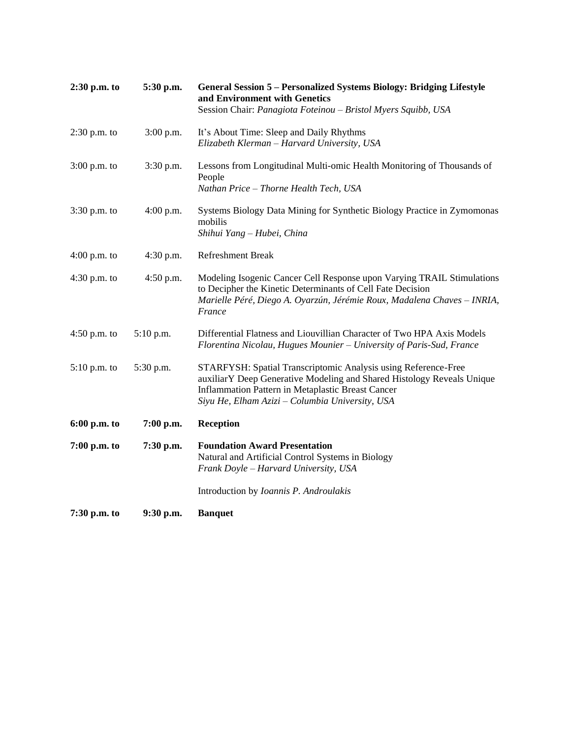| $2:30$ p.m. to | 5:30 p.m.   | General Session 5 – Personalized Systems Biology: Bridging Lifestyle<br>and Environment with Genetics<br>Session Chair: Panagiota Foteinou - Bristol Myers Squibb, USA                                                                           |
|----------------|-------------|--------------------------------------------------------------------------------------------------------------------------------------------------------------------------------------------------------------------------------------------------|
| $2:30$ p.m. to | 3:00 p.m.   | It's About Time: Sleep and Daily Rhythms<br>Elizabeth Klerman - Harvard University, USA                                                                                                                                                          |
| $3:00$ p.m. to | $3:30$ p.m. | Lessons from Longitudinal Multi-omic Health Monitoring of Thousands of<br>People<br>Nathan Price - Thorne Health Tech, USA                                                                                                                       |
| $3:30$ p.m. to | 4:00 p.m.   | Systems Biology Data Mining for Synthetic Biology Practice in Zymomonas<br>mobilis<br>Shihui Yang – Hubei, China                                                                                                                                 |
| $4:00$ p.m. to | $4:30$ p.m. | <b>Refreshment Break</b>                                                                                                                                                                                                                         |
| $4:30$ p.m. to | $4:50$ p.m. | Modeling Isogenic Cancer Cell Response upon Varying TRAIL Stimulations<br>to Decipher the Kinetic Determinants of Cell Fate Decision<br>Marielle Péré, Diego A. Oyarzún, Jérémie Roux, Madalena Chaves - INRIA,<br>France                        |
| $4:50$ p.m. to | $5:10$ p.m. | Differential Flatness and Liouvillian Character of Two HPA Axis Models<br>Florentina Nicolau, Hugues Mounier - University of Paris-Sud, France                                                                                                   |
| $5:10$ p.m. to | 5:30 p.m.   | STARFYSH: Spatial Transcriptomic Analysis using Reference-Free<br>auxiliarY Deep Generative Modeling and Shared Histology Reveals Unique<br>Inflammation Pattern in Metaplastic Breast Cancer<br>Siyu He, Elham Azizi - Columbia University, USA |
| 6:00 p.m. to   | $7:00$ p.m. | <b>Reception</b>                                                                                                                                                                                                                                 |
| $7:00$ p.m. to | 7:30 p.m.   | <b>Foundation Award Presentation</b><br>Natural and Artificial Control Systems in Biology<br>Frank Doyle - Harvard University, USA                                                                                                               |
|                |             | Introduction by <i>Ioannis P. Androulakis</i>                                                                                                                                                                                                    |
| 7:30 p.m. to   | 9:30 p.m.   | <b>Banquet</b>                                                                                                                                                                                                                                   |